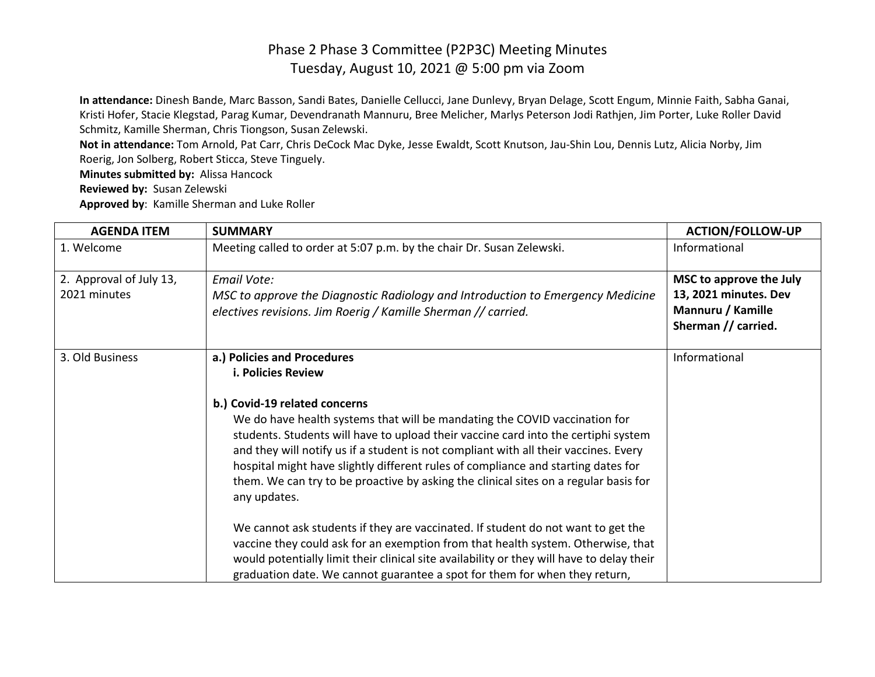**In attendance:** Dinesh Bande, Marc Basson, Sandi Bates, Danielle Cellucci, Jane Dunlevy, Bryan Delage, Scott Engum, Minnie Faith, Sabha Ganai, Kristi Hofer, Stacie Klegstad, Parag Kumar, Devendranath Mannuru, Bree Melicher, Marlys Peterson Jodi Rathjen, Jim Porter, Luke Roller David Schmitz, Kamille Sherman, Chris Tiongson, Susan Zelewski.

**Not in attendance:** Tom Arnold, Pat Carr, Chris DeCock Mac Dyke, Jesse Ewaldt, Scott Knutson, Jau-Shin Lou, Dennis Lutz, Alicia Norby, Jim Roerig, Jon Solberg, Robert Sticca, Steve Tinguely.

**Minutes submitted by:** Alissa Hancock

**Reviewed by:** Susan Zelewski

**Approved by**: Kamille Sherman and Luke Roller

| <b>AGENDA ITEM</b>                      | <b>SUMMARY</b>                                                                                                                                                                                                                                                                                                                                                                                                                                                                                                                                                                                                                                                                                                                                                                                                                                                                                 | <b>ACTION/FOLLOW-UP</b>                                                                      |
|-----------------------------------------|------------------------------------------------------------------------------------------------------------------------------------------------------------------------------------------------------------------------------------------------------------------------------------------------------------------------------------------------------------------------------------------------------------------------------------------------------------------------------------------------------------------------------------------------------------------------------------------------------------------------------------------------------------------------------------------------------------------------------------------------------------------------------------------------------------------------------------------------------------------------------------------------|----------------------------------------------------------------------------------------------|
| 1. Welcome                              | Meeting called to order at 5:07 p.m. by the chair Dr. Susan Zelewski.                                                                                                                                                                                                                                                                                                                                                                                                                                                                                                                                                                                                                                                                                                                                                                                                                          | Informational                                                                                |
| 2. Approval of July 13,<br>2021 minutes | <b>Email Vote:</b><br>MSC to approve the Diagnostic Radiology and Introduction to Emergency Medicine<br>electives revisions. Jim Roerig / Kamille Sherman // carried.                                                                                                                                                                                                                                                                                                                                                                                                                                                                                                                                                                                                                                                                                                                          | MSC to approve the July<br>13, 2021 minutes. Dev<br>Mannuru / Kamille<br>Sherman // carried. |
| 3. Old Business                         | a.) Policies and Procedures<br>i. Policies Review<br>b.) Covid-19 related concerns<br>We do have health systems that will be mandating the COVID vaccination for<br>students. Students will have to upload their vaccine card into the certiphi system<br>and they will notify us if a student is not compliant with all their vaccines. Every<br>hospital might have slightly different rules of compliance and starting dates for<br>them. We can try to be proactive by asking the clinical sites on a regular basis for<br>any updates.<br>We cannot ask students if they are vaccinated. If student do not want to get the<br>vaccine they could ask for an exemption from that health system. Otherwise, that<br>would potentially limit their clinical site availability or they will have to delay their<br>graduation date. We cannot guarantee a spot for them for when they return, | Informational                                                                                |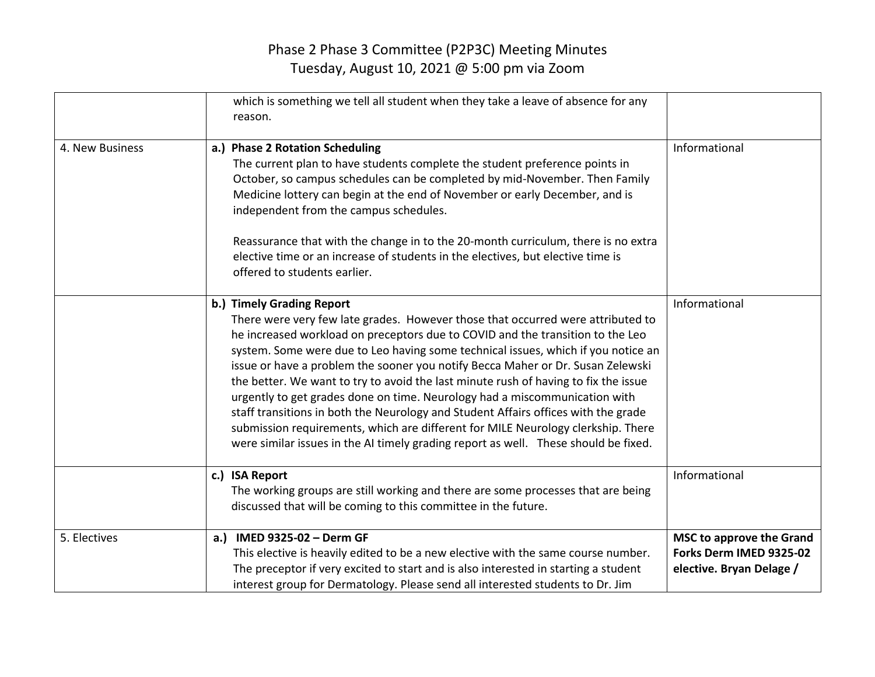|                 | which is something we tell all student when they take a leave of absence for any<br>reason.                                                                                                                                                                                                                                                                                                                                                                                                                                                                                                                                                                                                                                                                                                                  |                                                                                        |
|-----------------|--------------------------------------------------------------------------------------------------------------------------------------------------------------------------------------------------------------------------------------------------------------------------------------------------------------------------------------------------------------------------------------------------------------------------------------------------------------------------------------------------------------------------------------------------------------------------------------------------------------------------------------------------------------------------------------------------------------------------------------------------------------------------------------------------------------|----------------------------------------------------------------------------------------|
| 4. New Business | a.) Phase 2 Rotation Scheduling<br>The current plan to have students complete the student preference points in<br>October, so campus schedules can be completed by mid-November. Then Family<br>Medicine lottery can begin at the end of November or early December, and is<br>independent from the campus schedules.<br>Reassurance that with the change in to the 20-month curriculum, there is no extra<br>elective time or an increase of students in the electives, but elective time is<br>offered to students earlier.                                                                                                                                                                                                                                                                                | Informational                                                                          |
|                 | b.) Timely Grading Report<br>There were very few late grades. However those that occurred were attributed to<br>he increased workload on preceptors due to COVID and the transition to the Leo<br>system. Some were due to Leo having some technical issues, which if you notice an<br>issue or have a problem the sooner you notify Becca Maher or Dr. Susan Zelewski<br>the better. We want to try to avoid the last minute rush of having to fix the issue<br>urgently to get grades done on time. Neurology had a miscommunication with<br>staff transitions in both the Neurology and Student Affairs offices with the grade<br>submission requirements, which are different for MILE Neurology clerkship. There<br>were similar issues in the AI timely grading report as well. These should be fixed. | Informational                                                                          |
|                 | c.) ISA Report<br>The working groups are still working and there are some processes that are being<br>discussed that will be coming to this committee in the future.                                                                                                                                                                                                                                                                                                                                                                                                                                                                                                                                                                                                                                         | Informational                                                                          |
| 5. Electives    | a.) IMED 9325-02 - Derm GF<br>This elective is heavily edited to be a new elective with the same course number.<br>The preceptor if very excited to start and is also interested in starting a student<br>interest group for Dermatology. Please send all interested students to Dr. Jim                                                                                                                                                                                                                                                                                                                                                                                                                                                                                                                     | <b>MSC to approve the Grand</b><br>Forks Derm IMED 9325-02<br>elective. Bryan Delage / |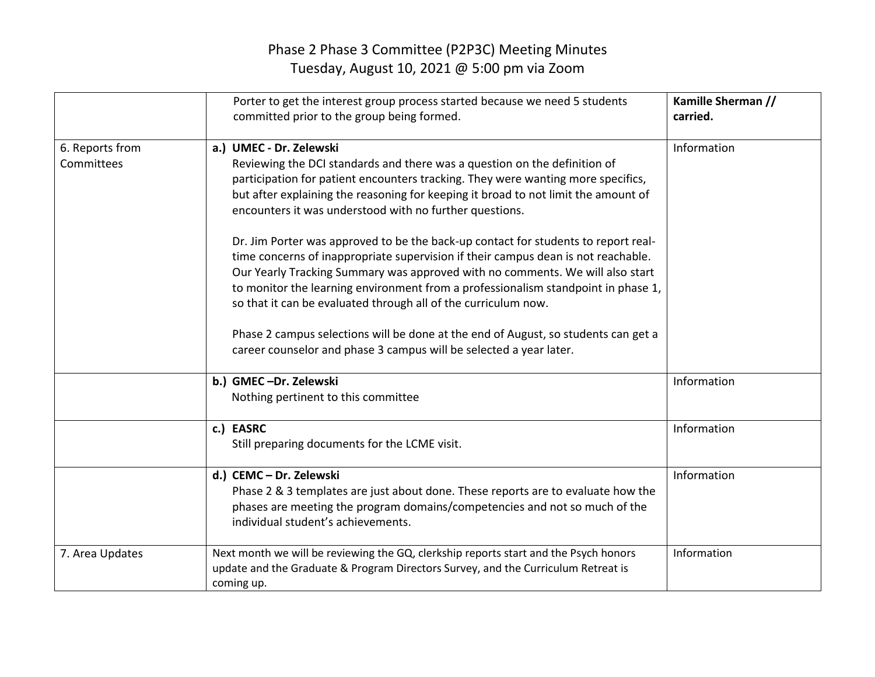|                               | Porter to get the interest group process started because we need 5 students<br>committed prior to the group being formed.                                                                                                                                                                                                                                                                                                                                                                                                                                                                                                                                                                                                                                                                                                                                                                                                | Kamille Sherman //<br>carried. |
|-------------------------------|--------------------------------------------------------------------------------------------------------------------------------------------------------------------------------------------------------------------------------------------------------------------------------------------------------------------------------------------------------------------------------------------------------------------------------------------------------------------------------------------------------------------------------------------------------------------------------------------------------------------------------------------------------------------------------------------------------------------------------------------------------------------------------------------------------------------------------------------------------------------------------------------------------------------------|--------------------------------|
| 6. Reports from<br>Committees | a.) UMEC - Dr. Zelewski<br>Reviewing the DCI standards and there was a question on the definition of<br>participation for patient encounters tracking. They were wanting more specifics,<br>but after explaining the reasoning for keeping it broad to not limit the amount of<br>encounters it was understood with no further questions.<br>Dr. Jim Porter was approved to be the back-up contact for students to report real-<br>time concerns of inappropriate supervision if their campus dean is not reachable.<br>Our Yearly Tracking Summary was approved with no comments. We will also start<br>to monitor the learning environment from a professionalism standpoint in phase 1,<br>so that it can be evaluated through all of the curriculum now.<br>Phase 2 campus selections will be done at the end of August, so students can get a<br>career counselor and phase 3 campus will be selected a year later. | Information                    |
|                               | b.) GMEC-Dr. Zelewski<br>Nothing pertinent to this committee                                                                                                                                                                                                                                                                                                                                                                                                                                                                                                                                                                                                                                                                                                                                                                                                                                                             | Information                    |
|                               | c.) EASRC<br>Still preparing documents for the LCME visit.                                                                                                                                                                                                                                                                                                                                                                                                                                                                                                                                                                                                                                                                                                                                                                                                                                                               | Information                    |
|                               | d.) CEMC - Dr. Zelewski<br>Phase 2 & 3 templates are just about done. These reports are to evaluate how the<br>phases are meeting the program domains/competencies and not so much of the<br>individual student's achievements.                                                                                                                                                                                                                                                                                                                                                                                                                                                                                                                                                                                                                                                                                          | Information                    |
| 7. Area Updates               | Next month we will be reviewing the GQ, clerkship reports start and the Psych honors<br>update and the Graduate & Program Directors Survey, and the Curriculum Retreat is<br>coming up.                                                                                                                                                                                                                                                                                                                                                                                                                                                                                                                                                                                                                                                                                                                                  | Information                    |